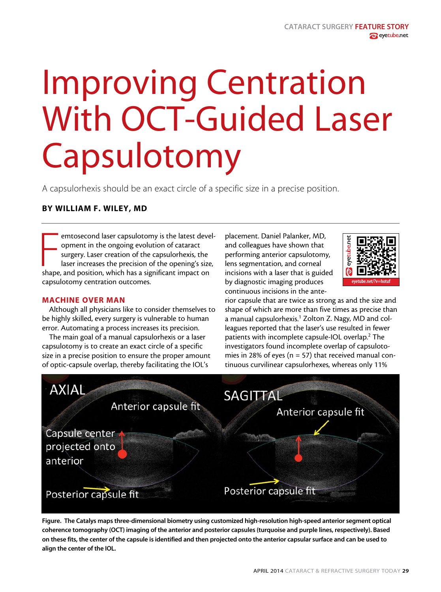# Improving Centration With OCT-Guided Laser Capsulotomy

A capsulorhexis should be an exact circle of a specific size in a precise position.

## BY WILLIAM F. WILEY, MD

emtosecond laser capsulotomy is the latest devery opment in the ongoing evolution of cataract surgery. Laser creation of the capsulorhexis, the laser increases the precision of the opening's size shape, and position, which emtosecond laser capsulotomy is the latest development in the ongoing evolution of cataract surgery. Laser creation of the capsulorhexis, the laser increases the precision of the opening's size, capsulotomy centration outcomes.

### MACHINE OVER MAN

Although all physicians like to consider themselves to be highly skilled, every surgery is vulnerable to human error. Automating a process increases its precision.

The main goal of a manual capsulorhexis or a laser capsulotomy is to create an exact circle of a specific size in a precise position to ensure the proper amount of optic-capsule overlap, thereby facilitating the IOL's

placement. Daniel Palanker, MD, and colleagues have shown that performing anterior capsulotomy, lens segmentation, and corneal incisions with a laser that is guided by diagnostic imaging produces continuous incisions in the ante-



rior capsule that are twice as strong as and the size and shape of which are more than five times as precise than a manual capsulorhexis.<sup>1</sup> Zolton Z. Nagy, MD and colleagues reported that the laser's use resulted in fewer patients with incomplete capsule-IOL overlap.<sup>2</sup> The investigators found incomplete overlap of capsulotomies in 28% of eyes ( $n = 57$ ) that received manual continuous curvilinear capsulorhexes, whereas only 11%



Figure. The Catalys maps three-dimensional biometry using customized high-resolution high-speed anterior segment optical coherence tomography (OCT) imaging of the anterior and posterior capsules (turquoise and purple lines, respectively). Based on these fits, the center of the capsule is identified and then projected onto the anterior capsular surface and can be used to align the center of the IOL.